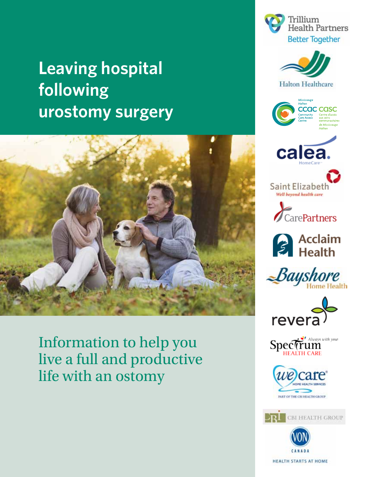# **Leaving hospital following urostomy surgery**



Information to help you live a full and productive life with an ostomy























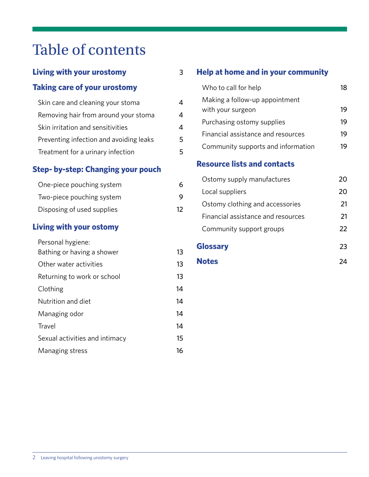# Table of contents

## **Living with your urostomy** 3

#### **Taking care of your urostomy**

| Skin care and cleaning your stoma       |   |
|-----------------------------------------|---|
| Removing hair from around your stoma    | 4 |
| Skin irritation and sensitivities       | 4 |
| Preventing infection and avoiding leaks | 5 |
| Treatment for a urinary infection       | 5 |

#### **Step- by-step: Changing your pouch**

| One-piece pouching system  | 6  |
|----------------------------|----|
| Two-piece pouching system  | 9  |
| Disposing of used supplies | 12 |

#### **Living with your ostomy**

| Personal hygiene:              |    |
|--------------------------------|----|
| Bathing or having a shower     | 13 |
| Other water activities         | 13 |
| Returning to work or school    | 13 |
| Clothing                       | 14 |
| Nutrition and diet             | 14 |
| Managing odor                  | 14 |
| Travel                         | 14 |
| Sexual activities and intimacy | 15 |
| Managing stress                | 16 |

#### **Help at home and in your community**

| Who to call for help                                |    |
|-----------------------------------------------------|----|
| Making a follow-up appointment<br>with your surgeon | 19 |
| Purchasing ostomy supplies                          | 19 |
| Financial assistance and resources                  | 19 |
| Community supports and information                  |    |

### **Resource lists and contacts**

| Ostomy supply manufactures         | 20 <sup>-</sup> |
|------------------------------------|-----------------|
| Local suppliers                    | 20              |
| Ostomy clothing and accessories    | 21              |
| Financial assistance and resources | 21              |
| Community support groups           | フフ              |
|                                    |                 |

## **Glossary** 23

**Notes** 24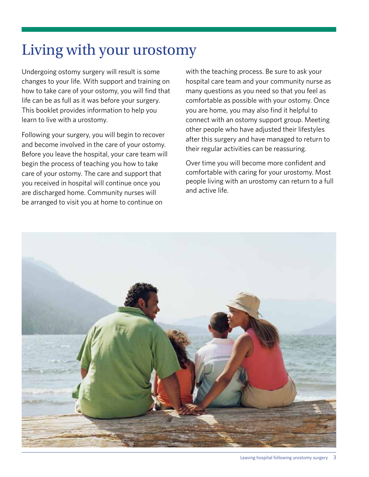# Living with your urostomy

Undergoing ostomy surgery will result is some changes to your life. With support and training on how to take care of your ostomy, you will find that life can be as full as it was before your surgery. This booklet provides information to help you learn to live with a urostomy.

Following your surgery, you will begin to recover and become involved in the care of your ostomy. Before you leave the hospital, your care team will begin the process of teaching you how to take care of your ostomy. The care and support that you received in hospital will continue once you are discharged home. Community nurses will be arranged to visit you at home to continue on

with the teaching process. Be sure to ask your hospital care team and your community nurse as many questions as you need so that you feel as comfortable as possible with your ostomy. Once you are home, you may also find it helpful to connect with an ostomy support group. Meeting other people who have adjusted their lifestyles after this surgery and have managed to return to their regular activities can be reassuring.

Over time you will become more confident and comfortable with caring for your urostomy. Most people living with an urostomy can return to a full and active life.

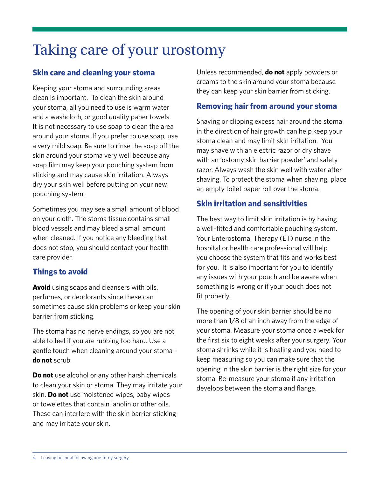# Taking care of your urostomy

#### **Skin care and cleaning your stoma**

Keeping your stoma and surrounding areas clean is important. To clean the skin around your stoma, all you need to use is warm water and a washcloth, or good quality paper towels. It is not necessary to use soap to clean the area around your stoma. If you prefer to use soap, use a very mild soap. Be sure to rinse the soap off the skin around your stoma very well because any soap film may keep your pouching system from sticking and may cause skin irritation. Always dry your skin well before putting on your new pouching system.

Sometimes you may see a small amount of blood on your cloth. The stoma tissue contains small blood vessels and may bleed a small amount when cleaned. If you notice any bleeding that does not stop, you should contact your health care provider.

#### **Things to avoid**

**Avoid** using soaps and cleansers with oils, perfumes, or deodorants since these can sometimes cause skin problems or keep your skin barrier from sticking.

The stoma has no nerve endings, so you are not able to feel if you are rubbing too hard. Use a gentle touch when cleaning around your stoma – **do not** scrub.

**Do not** use alcohol or any other harsh chemicals to clean your skin or stoma. They may irritate your skin. **Do not** use moistened wipes, baby wipes or towelettes that contain lanolin or other oils. These can interfere with the skin barrier sticking and may irritate your skin.

Unless recommended, **do not** apply powders or creams to the skin around your stoma because they can keep your skin barrier from sticking.

#### **Removing hair from around your stoma**

Shaving or clipping excess hair around the stoma in the direction of hair growth can help keep your stoma clean and may limit skin irritation. You may shave with an electric razor or dry shave with an 'ostomy skin barrier powder' and safety razor. Always wash the skin well with water after shaving. To protect the stoma when shaving, place an empty toilet paper roll over the stoma.

#### **Skin irritation and sensitivities**

The best way to limit skin irritation is by having a well-fitted and comfortable pouching system. Your Enterostomal Therapy (ET) nurse in the hospital or health care professional will help you choose the system that fits and works best for you. It is also important for you to identify any issues with your pouch and be aware when something is wrong or if your pouch does not fit properly.

The opening of your skin barrier should be no more than 1/8 of an inch away from the edge of your stoma. Measure your stoma once a week for the first six to eight weeks after your surgery. Your stoma shrinks while it is healing and you need to keep measuring so you can make sure that the opening in the skin barrier is the right size for your stoma. Re-measure your stoma if any irritation develops between the stoma and flange.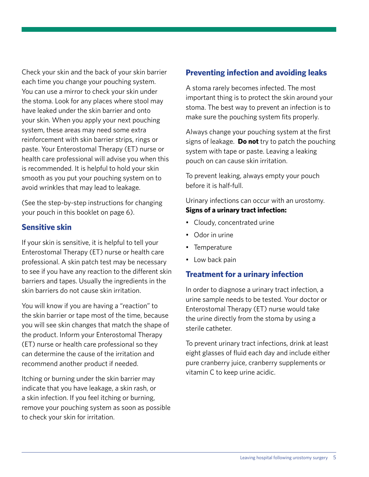Check your skin and the back of your skin barrier each time you change your pouching system. You can use a mirror to check your skin under the stoma. Look for any places where stool may have leaked under the skin barrier and onto your skin. When you apply your next pouching system, these areas may need some extra reinforcement with skin barrier strips, rings or paste. Your Enterostomal Therapy (ET) nurse or health care professional will advise you when this is recommended. It is helpful to hold your skin smooth as you put your pouching system on to avoid wrinkles that may lead to leakage.

(See the step-by-step instructions for changing your pouch in this booklet on page 6).

#### **Sensitive skin**

If your skin is sensitive, it is helpful to tell your Enterostomal Therapy (ET) nurse or health care professional. A skin patch test may be necessary to see if you have any reaction to the different skin barriers and tapes. Usually the ingredients in the skin barriers do not cause skin irritation.

You will know if you are having a "reaction" to the skin barrier or tape most of the time, because you will see skin changes that match the shape of the product. Inform your Enterostomal Therapy (ET) nurse or health care professional so they can determine the cause of the irritation and recommend another product if needed.

Itching or burning under the skin barrier may indicate that you have leakage, a skin rash, or a skin infection. If you feel itching or burning, remove your pouching system as soon as possible to check your skin for irritation.

#### **Preventing infection and avoiding leaks**

A stoma rarely becomes infected. The most important thing is to protect the skin around your stoma. The best way to prevent an infection is to make sure the pouching system fits properly.

Always change your pouching system at the first signs of leakage. **Do not** try to patch the pouching system with tape or paste. Leaving a leaking pouch on can cause skin irritation.

To prevent leaking, always empty your pouch before it is half-full.

#### Urinary infections can occur with an urostomy. **Signs of a urinary tract infection:**

- Cloudy, concentrated urine
- Odor in urine
- • Temperature
- Low back pain

#### **Treatment for a urinary infection**

In order to diagnose a urinary tract infection, a urine sample needs to be tested. Your doctor or Enterostomal Therapy (ET) nurse would take the urine directly from the stoma by using a sterile catheter.

To prevent urinary tract infections, drink at least eight glasses of fluid each day and include either pure cranberry juice, cranberry supplements or vitamin C to keep urine acidic.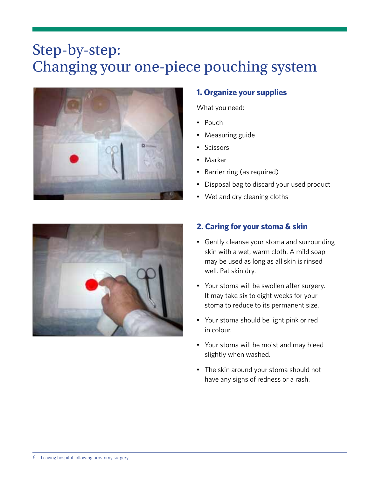# Step-by-step: Changing your one-piece pouching system



#### **1. Organize your supplies**

What you need:

- • Pouch
- Measuring guide
- • Scissors
- • Marker
- Barrier ring (as required)
- Disposal bag to discard your used product
- Wet and dry cleaning cloths



#### **2. Caring for your stoma & skin**

- Gently cleanse your stoma and surrounding skin with a wet, warm cloth. A mild soap may be used as long as all skin is rinsed well. Pat skin dry.
- Your stoma will be swollen after surgery. It may take six to eight weeks for your stoma to reduce to its permanent size.
- • Your stoma should be light pink or red in colour.
- • Your stoma will be moist and may bleed slightly when washed.
- The skin around your stoma should not have any signs of redness or a rash.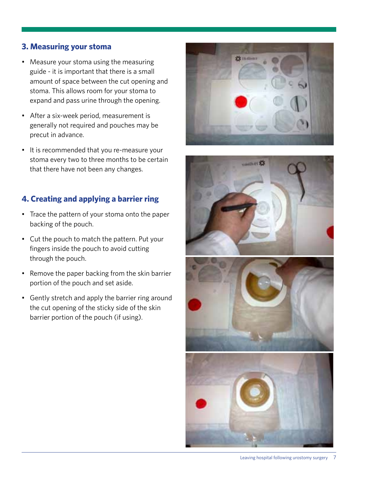#### **3. Measuring your stoma**

- Measure your stoma using the measuring guide - it is important that there is a small amount of space between the cut opening and stoma. This allows room for your stoma to expand and pass urine through the opening.
- • After a six-week period, measurement is generally not required and pouches may be precut in advance.
- • It is recommended that you re-measure your stoma every two to three months to be certain that there have not been any changes.

#### **4. Creating and applying a barrier ring**

- Trace the pattern of your stoma onto the paper backing of the pouch.
- Cut the pouch to match the pattern. Put your fingers inside the pouch to avoid cutting through the pouch.
- Remove the paper backing from the skin barrier portion of the pouch and set aside.
- Gently stretch and apply the barrier ring around the cut opening of the sticky side of the skin barrier portion of the pouch (if using).





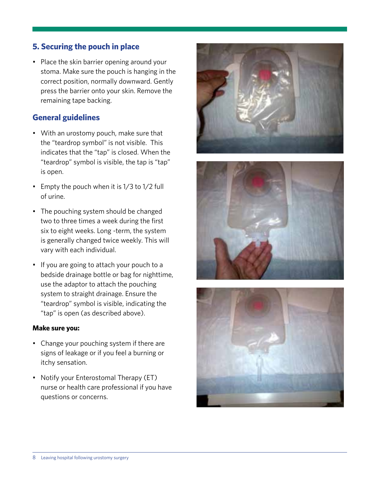#### **5. Securing the pouch in place**

• Place the skin barrier opening around your stoma. Make sure the pouch is hanging in the correct position, normally downward. Gently press the barrier onto your skin. Remove the remaining tape backing.

#### **General guidelines**

- With an urostomy pouch, make sure that the "teardrop symbol" is not visible. This indicates that the "tap" is closed. When the "teardrop" symbol is visible, the tap is "tap" is open.
- Empty the pouch when it is 1/3 to 1/2 full of urine.
- The pouching system should be changed two to three times a week during the first six to eight weeks. Long -term, the system is generally changed twice weekly. This will vary with each individual.
- • If you are going to attach your pouch to a bedside drainage bottle or bag for nighttime, use the adaptor to attach the pouching system to straight drainage. Ensure the "teardrop" symbol is visible, indicating the "tap" is open (as described above).

#### **Make sure you:**

- Change your pouching system if there are signs of leakage or if you feel a burning or itchy sensation.
- Notify your Enterostomal Therapy (ET) nurse or health care professional if you have questions or concerns.





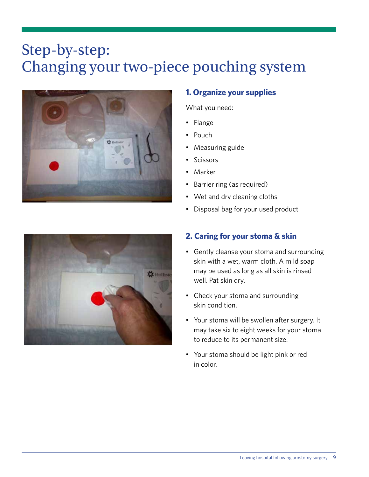# Step-by-step: Changing your two-piece pouching system



### **1. Organize your supplies**

What you need:

- • Flange
- Pouch
- Measuring guide
- **Scissors**
- • Marker
- Barrier ring (as required)
- Wet and dry cleaning cloths
- Disposal bag for your used product



### **2. Caring for your stoma & skin**

- Gently cleanse your stoma and surrounding skin with a wet, warm cloth. A mild soap may be used as long as all skin is rinsed well. Pat skin dry.
- Check your stoma and surrounding skin condition.
- • Your stoma will be swollen after surgery. It may take six to eight weeks for your stoma to reduce to its permanent size.
- • Your stoma should be light pink or red in color.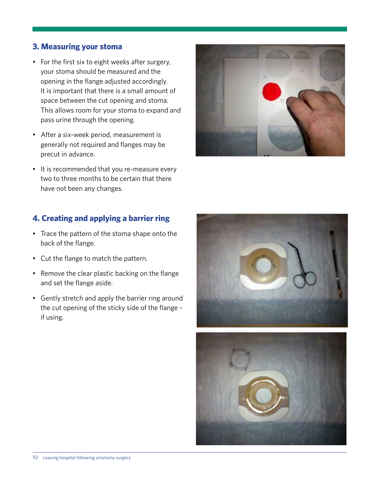#### **3. Measuring your stoma**

- For the first six to eight weeks after surgery, your stoma should be measured and the opening in the flange adjusted accordingly. It is important that there is a small amount of space between the cut opening and stoma. This allows room for your stoma to expand and pass urine through the opening.
- • After a six-week period, measurement is generally not required and flanges may be precut in advance.
- It is recommended that you re-measure every two to three months to be certain that there have not been any changes.

#### **4. Creating and applying a barrier ring**

- Trace the pattern of the stoma shape onto the back of the flange.
- • Cut the flange to match the pattern.
- Remove the clear plastic backing on the flange and set the flange aside.
- Gently stretch and apply the barrier ring around the cut opening of the sticky side of the flange – if using.





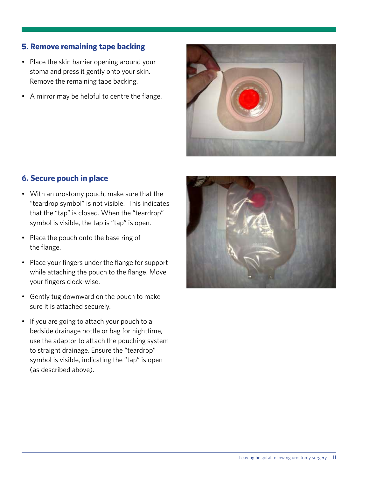## **5. Remove remaining tape backing**

- Place the skin barrier opening around your stoma and press it gently onto your skin. Remove the remaining tape backing.
- A mirror may be helpful to centre the flange.



#### **6. Secure pouch in place**

- • With an urostomy pouch, make sure that the "teardrop symbol" is not visible. This indicates that the "tap" is closed. When the "teardrop" symbol is visible, the tap is "tap" is open.
- Place the pouch onto the base ring of the flange.
- Place your fingers under the flange for support while attaching the pouch to the flange. Move your fingers clock-wise.
- Gently tug downward on the pouch to make sure it is attached securely.
- If you are going to attach your pouch to a bedside drainage bottle or bag for nighttime, use the adaptor to attach the pouching system to straight drainage. Ensure the "teardrop" symbol is visible, indicating the "tap" is open (as described above).

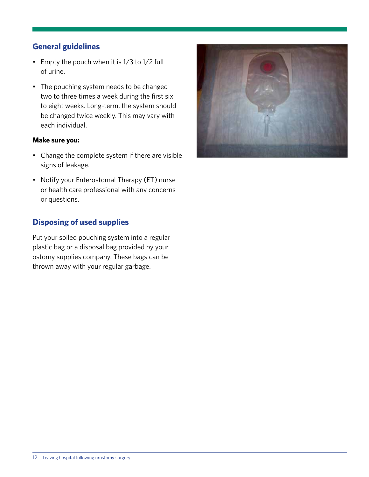#### **General guidelines**

- • Empty the pouch when it is 1/3 to 1/2 full of urine.
- The pouching system needs to be changed two to three times a week during the first six to eight weeks. Long-term, the system should be changed twice weekly. This may vary with each individual.

#### **Make sure you:**

- Change the complete system if there are visible signs of leakage.
- Notify your Enterostomal Therapy (ET) nurse or health care professional with any concerns or questions.

#### **Disposing of used supplies**

Put your soiled pouching system into a regular plastic bag or a disposal bag provided by your ostomy supplies company. These bags can be thrown away with your regular garbage.

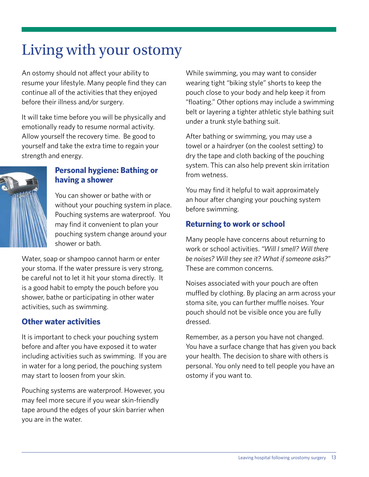# Living with your ostomy

An ostomy should not affect your ability to resume your lifestyle. Many people find they can continue all of the activities that they enjoyed before their illness and/or surgery.

It will take time before you will be physically and emotionally ready to resume normal activity. Allow yourself the recovery time. Be good to yourself and take the extra time to regain your strength and energy.

#### **Personal hygiene: Bathing or having a shower**

You can shower or bathe with or without your pouching system in place. Pouching systems are waterproof. You may find it convenient to plan your pouching system change around your shower or bath.

Water, soap or shampoo cannot harm or enter your stoma. If the water pressure is very strong, be careful not to let it hit your stoma directly. It is a good habit to empty the pouch before you shower, bathe or participating in other water activities, such as swimming.

#### **Other water activities**

It is important to check your pouching system before and after you have exposed it to water including activities such as swimming. If you are in water for a long period, the pouching system may start to loosen from your skin.

Pouching systems are waterproof. However, you may feel more secure if you wear skin-friendly tape around the edges of your skin barrier when you are in the water.

While swimming, you may want to consider wearing tight "biking style" shorts to keep the pouch close to your body and help keep it from "floating." Other options may include a swimming belt or layering a tighter athletic style bathing suit under a trunk style bathing suit.

After bathing or swimming, you may use a towel or a hairdryer (on the coolest setting) to dry the tape and cloth backing of the pouching system. This can also help prevent skin irritation from wetness.

You may find it helpful to wait approximately an hour after changing your pouching system before swimming.

### **Returning to work or school**

Many people have concerns about returning to work or school activities. *"Will I smell? Will there be noises? Will they see it? What if someone asks?"*  These are common concerns.

Noises associated with your pouch are often muffled by clothing. By placing an arm across your stoma site, you can further muffle noises. Your pouch should not be visible once you are fully dressed.

Remember, as a person you have not changed. You have a surface change that has given you back your health. The decision to share with others is personal. You only need to tell people you have an ostomy if you want to.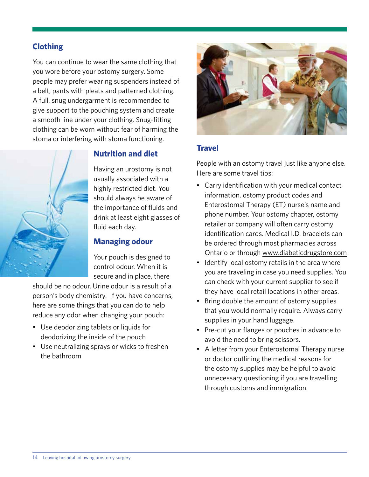#### **Clothing**

You can continue to wear the same clothing that you wore before your ostomy surgery. Some people may prefer wearing suspenders instead of a belt, pants with pleats and patterned clothing. A full, snug undergarment is recommended to give support to the pouching system and create a smooth line under your clothing. Snug-fitting clothing can be worn without fear of harming the stoma or interfering with stoma functioning.



#### **Nutrition and diet**

Having an urostomy is not usually associated with a highly restricted diet. You should always be aware of the importance of fluids and drink at least eight glasses of fluid each day.

#### **Managing odour**

Your pouch is designed to control odour. When it is secure and in place, there

should be no odour. Urine odour is a result of a person's body chemistry. If you have concerns, here are some things that you can do to help reduce any odor when changing your pouch:

- • Use deodorizing tablets or liquids for deodorizing the inside of the pouch
- Use neutralizing sprays or wicks to freshen the bathroom



#### **Travel**

People with an ostomy travel just like anyone else. Here are some travel tips:

- Carry identification with your medical contact information, ostomy product codes and Enterostomal Therapy (ET) nurse's name and phone number. Your ostomy chapter, ostomy retailer or company will often carry ostomy identification cards. Medical I.D. bracelets can be ordered through most pharmacies across Ontario or through www.diabeticdrugstore.com
- Identify local ostomy retails in the area where you are traveling in case you need supplies. You can check with your current supplier to see if they have local retail locations in other areas.
- Bring double the amount of ostomy supplies that you would normally require. Always carry supplies in your hand luggage.
- Pre-cut your flanges or pouches in advance to avoid the need to bring scissors.
- A letter from your Enterostomal Therapy nurse or doctor outlining the medical reasons for the ostomy supplies may be helpful to avoid unnecessary questioning if you are travelling through customs and immigration.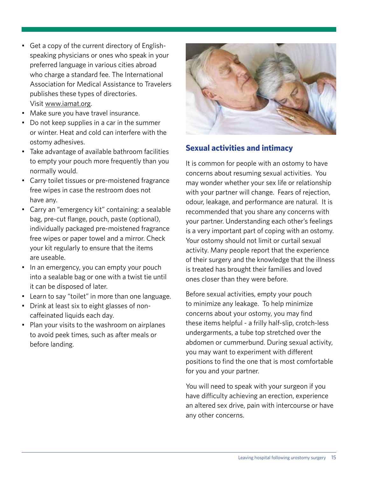- Get a copy of the current directory of Englishspeaking physicians or ones who speak in your preferred language in various cities abroad who charge a standard fee. The International Association for Medical Assistance to Travelers publishes these types of directories. Visit www.iamat.org.
- Make sure you have travel insurance.
- Do not keep supplies in a car in the summer or winter. Heat and cold can interfere with the ostomy adhesives.
- Take advantage of available bathroom facilities to empty your pouch more frequently than you normally would.
- Carry toilet tissues or pre-moistened fragrance free wipes in case the restroom does not have any.
- Carry an "emergency kit" containing: a sealable bag, pre-cut flange, pouch, paste (optional), individually packaged pre-moistened fragrance free wipes or paper towel and a mirror. Check your kit regularly to ensure that the items are useable.
- In an emergency, you can empty your pouch into a sealable bag or one with a twist tie until it can be disposed of later.
- Learn to say "toilet" in more than one language.
- Drink at least six to eight glasses of noncaffeinated liquids each day.
- Plan your visits to the washroom on airplanes to avoid peek times, such as after meals or before landing.



#### **Sexual activities and intimacy**

It is common for people with an ostomy to have concerns about resuming sexual activities. You may wonder whether your sex life or relationship with your partner will change. Fears of rejection, odour, leakage, and performance are natural. It is recommended that you share any concerns with your partner. Understanding each other's feelings is a very important part of coping with an ostomy. Your ostomy should not limit or curtail sexual activity. Many people report that the experience of their surgery and the knowledge that the illness is treated has brought their families and loved ones closer than they were before.

Before sexual activities, empty your pouch to minimize any leakage. To help minimize concerns about your ostomy, you may find these items helpful - a frilly half-slip, crotch-less undergarments, a tube top stretched over the abdomen or cummerbund. During sexual activity, you may want to experiment with different positions to find the one that is most comfortable for you and your partner.

You will need to speak with your surgeon if you have difficulty achieving an erection, experience an altered sex drive, pain with intercourse or have any other concerns.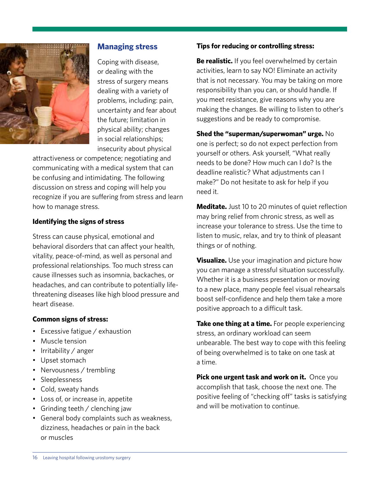

#### **Managing stress**

Coping with disease, or dealing with the stress of surgery means dealing with a variety of problems, including: pain, uncertainty and fear about the future; limitation in physical ability; changes in social relationships; insecurity about physical

attractiveness or competence; negotiating and communicating with a medical system that can be confusing and intimidating. The following discussion on stress and coping will help you recognize if you are suffering from stress and learn how to manage stress.

#### **Identifying the signs of stress**

Stress can cause physical, emotional and behavioral disorders that can affect your health, vitality, peace-of-mind, as well as personal and professional relationships. Too much stress can cause illnesses such as insomnia, backaches, or headaches, and can contribute to potentially lifethreatening diseases like high blood pressure and heart disease.

#### **Common signs of stress:**

- Excessive fatigue / exhaustion
- Muscle tension
- Irritability / anger
- Upset stomach
- Nervousness / trembling
- • Sleeplessness
- Cold, sweaty hands
- Loss of, or increase in, appetite
- Grinding teeth / clenching jaw
- General body complaints such as weakness, dizziness, headaches or pain in the back or muscles

#### **Tips for reducing or controlling stress:**

**Be realistic.** If you feel overwhelmed by certain activities, learn to say NO! Eliminate an activity that is not necessary. You may be taking on more responsibility than you can, or should handle. If you meet resistance, give reasons why you are making the changes. Be willing to listen to other's suggestions and be ready to compromise.

**Shed the "superman/superwoman" urge.** No one is perfect; so do not expect perfection from yourself or others. Ask yourself, "What really needs to be done? How much can I do? Is the deadline realistic? What adjustments can I make?" Do not hesitate to ask for help if you need it.

**Meditate.** Just 10 to 20 minutes of quiet reflection may bring relief from chronic stress, as well as increase your tolerance to stress. Use the time to listen to music, relax, and try to think of pleasant things or of nothing.

**Visualize.** Use your imagination and picture how you can manage a stressful situation successfully. Whether it is a business presentation or moving to a new place, many people feel visual rehearsals boost self-confidence and help them take a more positive approach to a difficult task.

**Take one thing at a time.** For people experiencing stress, an ordinary workload can seem unbearable. The best way to cope with this feeling of being overwhelmed is to take on one task at a time.

**Pick one urgent task and work on it.** Once you accomplish that task, choose the next one. The positive feeling of "checking off" tasks is satisfying and will be motivation to continue.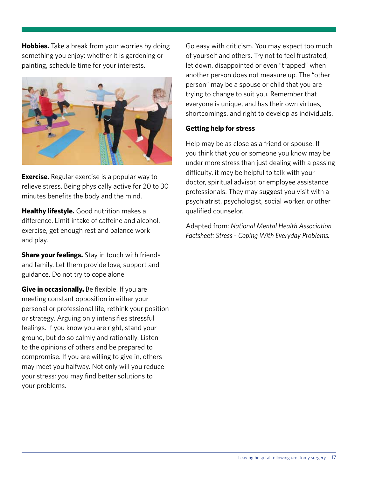**Hobbies.** Take a break from your worries by doing something you enjoy; whether it is gardening or painting, schedule time for your interests.



**Exercise.** Regular exercise is a popular way to relieve stress. Being physically active for 20 to 30 minutes benefits the body and the mind.

**Healthy lifestyle.** Good nutrition makes a difference. Limit intake of caffeine and alcohol, exercise, get enough rest and balance work and play.

**Share your feelings.** Stay in touch with friends and family. Let them provide love, support and guidance. Do not try to cope alone.

**Give in occasionally.** Be flexible. If you are meeting constant opposition in either your personal or professional life, rethink your position or strategy. Arguing only intensifies stressful feelings. If you know you are right, stand your ground, but do so calmly and rationally. Listen to the opinions of others and be prepared to compromise. If you are willing to give in, others may meet you halfway. Not only will you reduce your stress; you may find better solutions to your problems.

Go easy with criticism. You may expect too much of yourself and others. Try not to feel frustrated, let down, disappointed or even "trapped" when another person does not measure up. The "other person" may be a spouse or child that you are trying to change to suit you. Remember that everyone is unique, and has their own virtues, shortcomings, and right to develop as individuals.

#### **Getting help for stress**

Help may be as close as a friend or spouse. If you think that you or someone you know may be under more stress than just dealing with a passing difficulty, it may be helpful to talk with your doctor, spiritual advisor, or employee assistance professionals. They may suggest you visit with a psychiatrist, psychologist, social worker, or other qualified counselor.

Adapted from: *National Mental Health Association Factsheet: Stress - Coping With Everyday Problems.*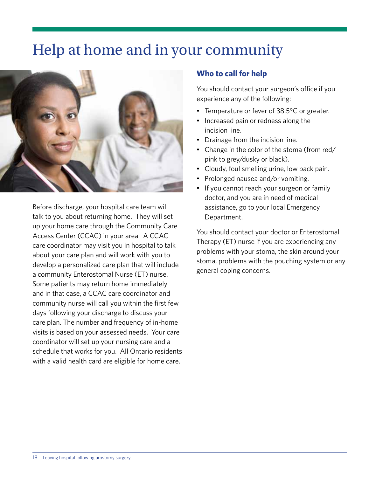# Help at home and in your community



Before discharge, your hospital care team will talk to you about returning home. They will set up your home care through the Community Care Access Center (CCAC) in your area. A CCAC care coordinator may visit you in hospital to talk about your care plan and will work with you to develop a personalized care plan that will include a community Enterostomal Nurse (ET) nurse. Some patients may return home immediately and in that case, a CCAC care coordinator and community nurse will call you within the first few days following your discharge to discuss your care plan. The number and frequency of in-home visits is based on your assessed needs. Your care coordinator will set up your nursing care and a schedule that works for you. All Ontario residents with a valid health card are eligible for home care.

#### **Who to call for help**

You should contact your surgeon's office if you experience any of the following:

- Temperature or fever of 38.5°C or greater.
- Increased pain or redness along the incision line.
- Drainage from the incision line.
- Change in the color of the stoma (from red/ pink to grey/dusky or black).
- Cloudy, foul smelling urine, low back pain.
- Prolonged nausea and/or vomiting.
- If you cannot reach your surgeon or family doctor, and you are in need of medical assistance, go to your local Emergency Department.

You should contact your doctor or Enterostomal Therapy (ET) nurse if you are experiencing any problems with your stoma, the skin around your stoma, problems with the pouching system or any general coping concerns.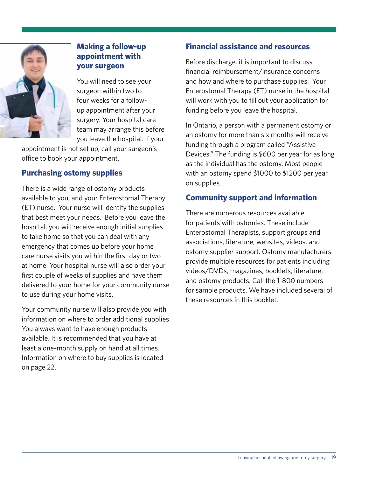

#### **Making a follow-up appointment with your surgeon**

You will need to see your surgeon within two to four weeks for a followup appointment after your surgery. Your hospital care team may arrange this before you leave the hospital. If your

appointment is not set up, call your surgeon's office to book your appointment.

#### **Purchasing ostomy supplies**

There is a wide range of ostomy products available to you, and your Enterostomal Therapy (ET) nurse. Your nurse will identify the supplies that best meet your needs. Before you leave the hospital, you will receive enough initial supplies to take home so that you can deal with any emergency that comes up before your home care nurse visits you within the first day or two at home. Your hospital nurse will also order your first couple of weeks of supplies and have them delivered to your home for your community nurse to use during your home visits.

Your community nurse will also provide you with information on where to order additional supplies. You always want to have enough products available. It is recommended that you have at least a one-month supply on hand at all times. Information on where to buy supplies is located on page 22.

#### **Financial assistance and resources**

Before discharge, it is important to discuss financial reimbursement/insurance concerns and how and where to purchase supplies. Your Enterostomal Therapy (ET) nurse in the hospital will work with you to fill out your application for funding before you leave the hospital.

In Ontario, a person with a permanent ostomy or an ostomy for more than six months will receive funding through a program called "Assistive Devices." The funding is \$600 per year for as long as the individual has the ostomy. Most people with an ostomy spend \$1000 to \$1200 per year on supplies.

#### **Community support and information**

There are numerous resources available for patients with ostomies. These include Enterostomal Therapists, support groups and associations, literature, websites, videos, and ostomy supplier support. Ostomy manufacturers provide multiple resources for patients including videos/DVDs, magazines, booklets, literature, and ostomy products. Call the 1-800 numbers for sample products. We have included several of these resources in this booklet.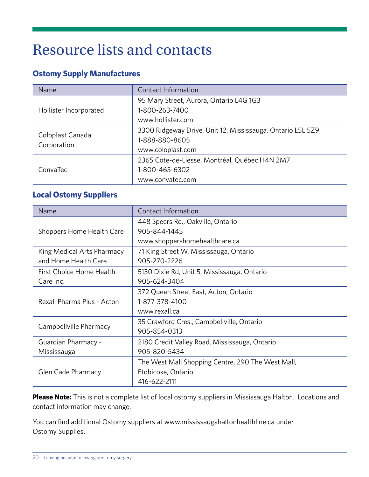# Resource lists and contacts

#### **Ostomy Supply Manufactures**

| Name                            | Contact Information                                                                               |
|---------------------------------|---------------------------------------------------------------------------------------------------|
| Hollister Incorporated          | 95 Mary Street, Aurora, Ontario L4G 1G3<br>1-800-263-7400<br>www.hollister.com                    |
| Coloplast Canada<br>Corporation | 3300 Ridgeway Drive, Unit 12, Mississauga, Ontario L5L 5Z9<br>1-888-880-8605<br>www.coloplast.com |
| ConvaTec                        | 2365 Cote-de-Liesse, Montréal, Québec H4N 2M7<br>1-800-465-6302<br>www.convatec.com               |

## **Local Ostomy Suppliers**

| Name                       | Contact Information                               |
|----------------------------|---------------------------------------------------|
|                            | 448 Speers Rd., Oakville, Ontario                 |
| Shoppers Home Health Care  | 905-844-1445                                      |
|                            | www.shoppershomehealthcare.ca                     |
| King Medical Arts Pharmacy | 71 King Street W, Mississauga, Ontario            |
| and Home Health Care       | 905-270-2226                                      |
| First Choice Home Health   | 5130 Dixie Rd, Unit 5, Mississauga, Ontario       |
| Care Inc.                  | 905-624-3404                                      |
|                            | 372 Queen Street East, Acton, Ontario             |
| Rexall Pharma Plus - Acton | 1-877-378-4100                                    |
|                            | www.rexall.ca                                     |
| Campbellville Pharmacy     | 35 Crawford Cres., Campbellville, Ontario         |
|                            | 905-854-0313                                      |
| Guardian Pharmacy -        | 2180 Credit Valley Road, Mississauga, Ontario     |
| Mississauga                | 905-820-5434                                      |
|                            | The West Mall Shopping Centre, 290 The West Mall, |
| Glen Cade Pharmacy         | Etobicoke, Ontario                                |
|                            | 416-622-2111                                      |

**Please Note:** This is not a complete list of local ostomy suppliers in Mississauga Halton. Locations and contact information may change.

You can find additional Ostomy suppliers at www.mississaugahaltonhealthline.ca under Ostomy Supplies.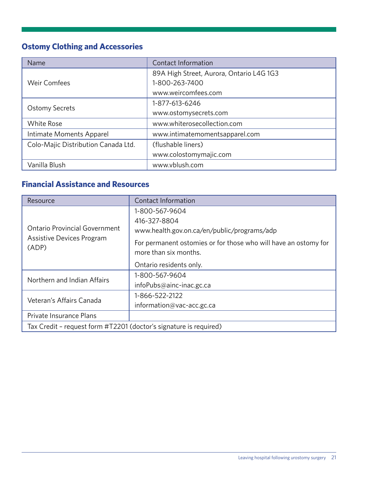## **Ostomy Clothing and Accessories**

| Name                                | Contact Information                      |
|-------------------------------------|------------------------------------------|
|                                     | 89A High Street, Aurora, Ontario L4G 1G3 |
| <b>Weir Comfees</b>                 | 1-800-263-7400                           |
|                                     | www.weircomfees.com                      |
|                                     | 1-877-613-6246                           |
| <b>Ostomy Secrets</b>               | www.ostomysecrets.com                    |
| <b>White Rose</b>                   | www.whiterosecollection.com              |
| Intimate Moments Apparel            | www.intimatemomentsapparel.com           |
| Colo-Majic Distribution Canada Ltd. | (flushable liners)                       |
|                                     | www.colostomymajic.com                   |
| Vanilla Blush                       | www.vblush.com                           |

## **Financial Assistance and Resources**

| Resource                                                          | Contact Information                                                                      |  |
|-------------------------------------------------------------------|------------------------------------------------------------------------------------------|--|
|                                                                   | 1-800-567-9604                                                                           |  |
|                                                                   | 416-327-8804                                                                             |  |
| <b>Ontario Provincial Government</b>                              | www.health.gov.on.ca/en/public/programs/adp                                              |  |
| Assistive Devices Program<br>(ADP)                                | For permanent ostomies or for those who will have an ostomy for<br>more than six months. |  |
|                                                                   | Ontario residents only.                                                                  |  |
| Northern and Indian Affairs                                       | 1-800-567-9604                                                                           |  |
|                                                                   | infoPubs@ainc-inac.gc.ca                                                                 |  |
| Veteran's Affairs Canada                                          | 1-866-522-2122                                                                           |  |
|                                                                   | information@vac-acc.gc.ca                                                                |  |
| Private Insurance Plans                                           |                                                                                          |  |
| Tax Credit - request form #T2201 (doctor's signature is required) |                                                                                          |  |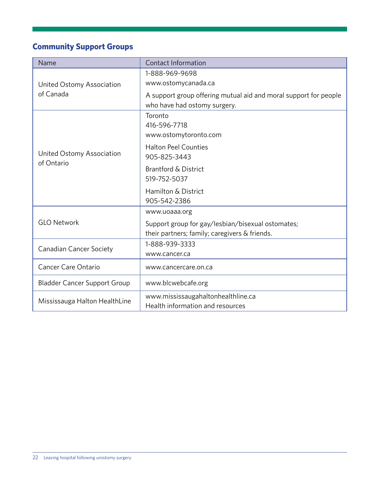## **Community Support Groups**

| Name                                    | Contact Information                                              |  |
|-----------------------------------------|------------------------------------------------------------------|--|
|                                         | 1-888-969-9698                                                   |  |
| United Ostomy Association               | www.ostomycanada.ca                                              |  |
| of Canada                               | A support group offering mutual aid and moral support for people |  |
|                                         | who have had ostomy surgery.                                     |  |
|                                         | Toronto                                                          |  |
|                                         | 416-596-7718                                                     |  |
|                                         | www.ostomytoronto.com                                            |  |
|                                         | <b>Halton Peel Counties</b>                                      |  |
| United Ostomy Association<br>of Ontario | 905-825-3443                                                     |  |
|                                         | <b>Brantford &amp; District</b>                                  |  |
|                                         | 519-752-5037                                                     |  |
|                                         | Hamilton & District                                              |  |
|                                         | 905-542-2386                                                     |  |
|                                         | www.uoaaa.org                                                    |  |
| <b>GLO Network</b>                      | Support group for gay/lesbian/bisexual ostomates;                |  |
|                                         | their partners; family; caregivers & friends.                    |  |
| <b>Canadian Cancer Society</b>          | 1-888-939-3333                                                   |  |
|                                         | www.cancer.ca                                                    |  |
| Cancer Care Ontario                     | www.cancercare.on.ca                                             |  |
| <b>Bladder Cancer Support Group</b>     | www.blcwebcafe.org                                               |  |
| Mississauga Halton HealthLine           | www.mississaugahaltonhealthline.ca                               |  |
|                                         | Health information and resources                                 |  |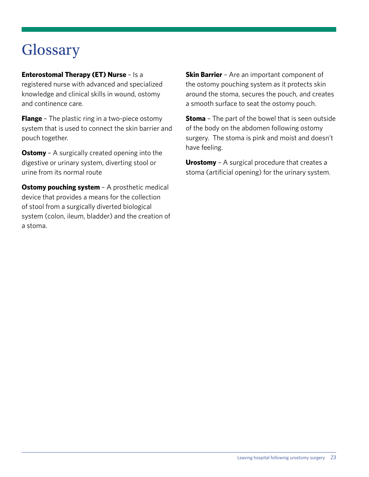# **Glossary**

#### **Enterostomal Therapy (ET) Nurse** – Is a

registered nurse with advanced and specialized knowledge and clinical skills in wound, ostomy and continence care.

**Flange** - The plastic ring in a two-piece ostomy system that is used to connect the skin barrier and pouch together.

**Ostomy** - A surgically created opening into the digestive or urinary system, diverting stool or urine from its normal route

**Ostomy pouching system** - A prosthetic medical device that provides a means for the collection of stool from a surgically diverted biological system (colon, ileum, bladder) and the creation of a stoma.

**Skin Barrier** - Are an important component of the ostomy pouching system as it protects skin around the stoma, secures the pouch, and creates a smooth surface to seat the ostomy pouch.

**Stoma** – The part of the bowel that is seen outside of the body on the abdomen following ostomy surgery. The stoma is pink and moist and doesn't have feeling.

**Urostomy** – A surgical procedure that creates a stoma (artificial opening) for the urinary system.